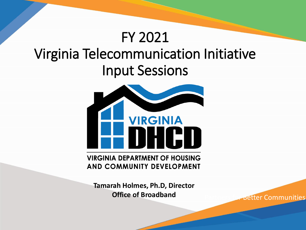### FY 2021 Virginia Telecommunication Initiative Input Sessions



**AND COMMUNITY DEVELOPMENT** 

**Tamarah Holmes, Ph.D, Director Office of Broadband**

**Better Communities**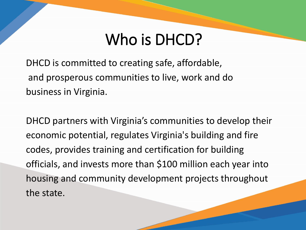## Who is DHCD?

DHCD is committed to creating safe, affordable, and prosperous communities to live, work and do business in Virginia.

DHCD partners with Virginia's communities to develop their economic potential, regulates Virginia's building and fire codes, provides training and certification for building officials, and invests more than \$100 million each year into housing and community development projects throughout the state.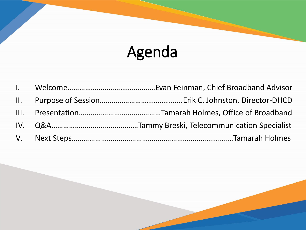# Agenda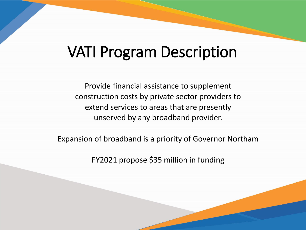### VATI Program Description

Provide financial assistance to supplement construction costs by private sector providers to extend services to areas that are presently unserved by any broadband provider.

Expansion of broadband is a priority of Governor Northam

FY2021 propose \$35 million in funding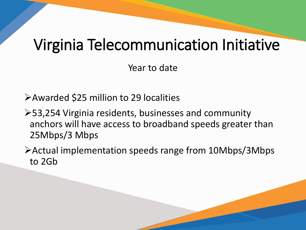### Virginia Telecommunication Initiative

Year to date

Awarded \$25 million to 29 localities

- 53,254 Virginia residents, businesses and community anchors will have access to broadband speeds greater than 25Mbps/3 Mbps
- Actual implementation speeds range from 10Mbps/3Mbps to 2Gb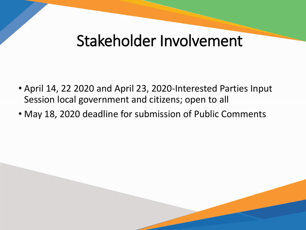### Stakeholder Involvement

- April 14, 22 2020 and April 23, 2020-Interested Parties Input Session local government and citizens; open to all
- May 18, 2020 deadline for submission of Public Comments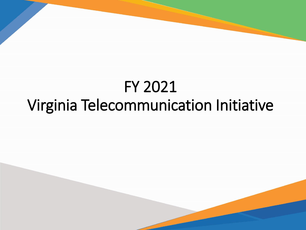## FY 2021 Virginia Telecommunication Initiative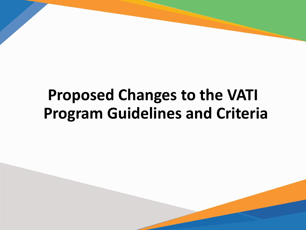## **Proposed Changes to the VATI Program Guidelines and Criteria**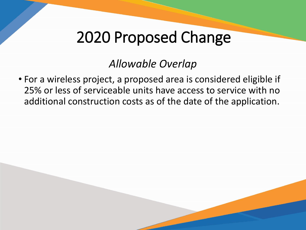#### *Allowable Overlap*

• For a wireless project, a proposed area is considered eligible if 25% or less of serviceable units have access to service with no additional construction costs as of the date of the application.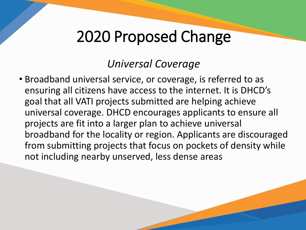#### *Universal Coverage*

• Broadband universal service, or coverage, is referred to as ensuring all citizens have access to the internet. It is DHCD's goal that all VATI projects submitted are helping achieve universal coverage. DHCD encourages applicants to ensure all projects are fit into a larger plan to achieve universal broadband for the locality or region. Applicants are discouraged from submitting projects that focus on pockets of density while not including nearby unserved, less dense areas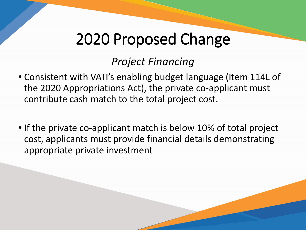#### *Project Financing*

- Consistent with VATI's enabling budget language (Item 114L of the 2020 Appropriations Act), the private co-applicant must contribute cash match to the total project cost.
- If the private co-applicant match is below 10% of total project cost, applicants must provide financial details demonstrating appropriate private investment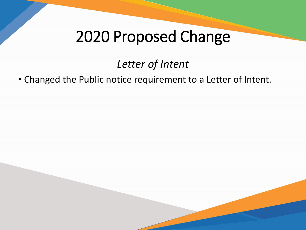#### *Letter of Intent*

#### • Changed the Public notice requirement to a Letter of Intent.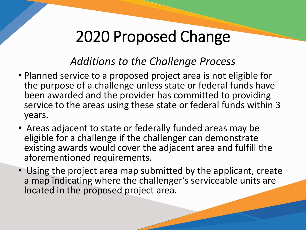#### *Additions to the Challenge Process*

- Planned service to a proposed project area is not eligible for the purpose of a challenge unless state or federal funds have been awarded and the provider has committed to providing service to the areas using these state or federal funds within 3 years.
- Areas adjacent to state or federally funded areas may be eligible for a challenge if the challenger can demonstrate existing awards would cover the adjacent area and fulfill the aforementioned requirements.
- Using the project area map submitted by the applicant, create a map indicating where the challenger's serviceable units are located in the proposed project area.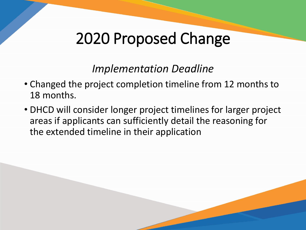#### *Implementation Deadline*

- Changed the project completion timeline from 12 months to 18 months.
- DHCD will consider longer project timelines for larger project areas if applicants can sufficiently detail the reasoning for the extended timeline in their application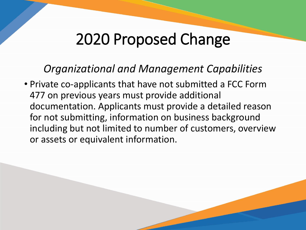#### *Organizational and Management Capabilities*

• Private co-applicants that have not submitted a FCC Form 477 on previous years must provide additional documentation. Applicants must provide a detailed reason for not submitting, information on business background including but not limited to number of customers, overview or assets or equivalent information.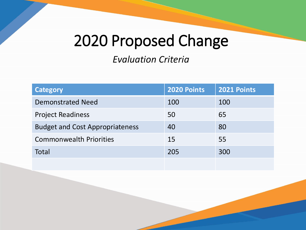*Evaluation Criteria*

| <b>Category</b>                        | 2020 Points | 2021 Points |
|----------------------------------------|-------------|-------------|
| <b>Demonstrated Need</b>               | 100         | 100         |
| <b>Project Readiness</b>               | 50          | 65          |
| <b>Budget and Cost Appropriateness</b> | 40          | 80          |
| <b>Commonwealth Priorities</b>         | 15          | 55          |
| <b>Total</b>                           | 205         | 300         |
|                                        |             |             |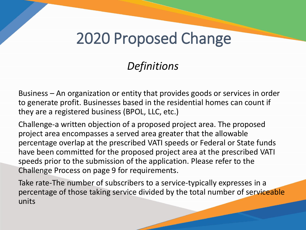#### *Definitions*

Business – An organization or entity that provides goods or services in order to generate profit. Businesses based in the residential homes can count if they are a registered business (BPOL, LLC, etc.)

Challenge-a written objection of a proposed project area. The proposed project area encompasses a served area greater that the allowable percentage overlap at the prescribed VATI speeds or Federal or State funds have been committed for the proposed project area at the prescribed VATI speeds prior to the submission of the application. Please refer to the Challenge Process on page 9 for requirements.

Take rate-The number of subscribers to a service-typically expresses in a percentage of those taking service divided by the total number of serviceable units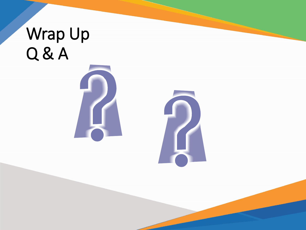# Wrap Up Q & A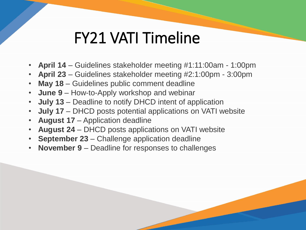### FY21 VATI Timeline

- **April 14** Guidelines stakeholder meeting #1:11:00am 1:00pm
- **April 23** Guidelines stakeholder meeting #2:1:00pm 3:00pm
- **May 18** Guidelines public comment deadline
- **June 9** How-to-Apply workshop and webinar
- **July 13** Deadline to notify DHCD intent of application
- **July 17** DHCD posts potential applications on VATI website
- **August 17** Application deadline
- **August 24** DHCD posts applications on VATI website
- **September 23** Challenge application deadline
- **November 9** Deadline for responses to challenges